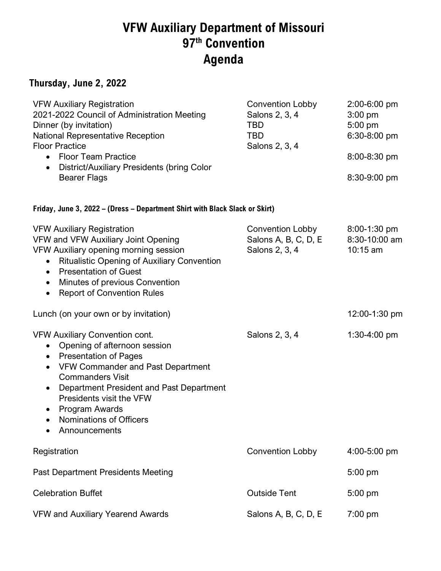# **VFW Auxiliary Department of Missouri 97th Convention Agenda**

### **Thursday, June 2, 2022**

| <b>VFW Auxiliary Registration</b><br>2021-2022 Council of Administration Meeting<br>Dinner (by invitation)<br>National Representative Reception<br><b>Floor Practice</b><br>• Floor Team Practice<br>District/Auxiliary Presidents (bring Color<br>$\bullet$<br><b>Bearer Flags</b>                                                                  | <b>Convention Lobby</b><br>Salons 2, 3, 4<br><b>TBD</b><br><b>TBD</b><br>Salons 2, 3, 4 | $2:00 - 6:00$ pm<br>$3:00$ pm<br>$5:00$ pm<br>6:30-8:00 pm<br>8:00-8:30 pm<br>8:30-9:00 pm |
|------------------------------------------------------------------------------------------------------------------------------------------------------------------------------------------------------------------------------------------------------------------------------------------------------------------------------------------------------|-----------------------------------------------------------------------------------------|--------------------------------------------------------------------------------------------|
| Friday, June 3, 2022 - (Dress - Department Shirt with Black Slack or Skirt)                                                                                                                                                                                                                                                                          |                                                                                         |                                                                                            |
| <b>VFW Auxiliary Registration</b><br>VFW and VFW Auxiliary Joint Opening<br>VFW Auxiliary opening morning session<br><b>Ritualistic Opening of Auxiliary Convention</b><br>$\bullet$<br><b>Presentation of Guest</b><br>$\bullet$<br><b>Minutes of previous Convention</b><br>$\bullet$<br><b>Report of Convention Rules</b><br>$\bullet$            | Convention Lobby<br>Salons A, B, C, D, E<br>Salons 2, 3, 4                              | $8:00-1:30$ pm<br>8:30-10:00 am<br>10:15 am                                                |
| Lunch (on your own or by invitation)                                                                                                                                                                                                                                                                                                                 |                                                                                         | 12:00-1:30 pm                                                                              |
| <b>VFW Auxiliary Convention cont.</b><br>Opening of afternoon session<br>$\bullet$<br>• Presentation of Pages<br><b>VFW Commander and Past Department</b><br>$\bullet$<br><b>Commanders Visit</b><br>Department President and Past Department<br>$\bullet$<br>Presidents visit the VFW<br>Program Awards<br>Nominations of Officers<br>Announcements | Salons 2, 3, 4                                                                          | $1:30-4:00$ pm                                                                             |
| Registration                                                                                                                                                                                                                                                                                                                                         | <b>Convention Lobby</b>                                                                 | 4:00-5:00 pm                                                                               |
| <b>Past Department Presidents Meeting</b>                                                                                                                                                                                                                                                                                                            |                                                                                         | 5:00 pm                                                                                    |
| <b>Celebration Buffet</b>                                                                                                                                                                                                                                                                                                                            | <b>Outside Tent</b>                                                                     | $5:00$ pm                                                                                  |
| VFW and Auxiliary Yearend Awards                                                                                                                                                                                                                                                                                                                     | Salons A, B, C, D, E                                                                    | $7:00$ pm                                                                                  |